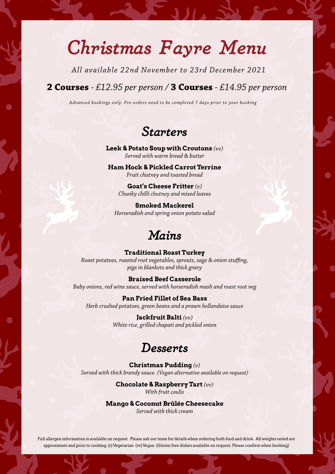## *Christmas Fayre Menu*

*All available 22nd November to 23rd December 2021*

#### **2 Courses** *- £12.95 per person /* **3 Courses** *- £14.95 per person*

*Advanced bookings only. Pre-orders need to be completed 7 days prior to your booking*

#### *Starters*

**Leek & Potato Soup with Croutons** *(vv) Served with warm bread & butter*

**Ham Hock & Pickled Carrot Terrine** *Fruit chutney and toasted bread*

**Goat's Cheese Fritter** *(v) Chunky chilli chutney and mixed leaves* 

**Smoked Mackerel**  *Horseradish and spring onion potato salad*

### *Mains*

**Traditional Roast Turkey**  *Roast potatoes, roasted root vegetables, sprouts, sage & onion stuffing, pigs in blankets and thick gravy*

**Braised Beef Casserole** *Baby onions, red wine sauce, served with horseradish mash and roast root veg*

**Pan Fried Fillet of Sea Bass** *Herb crushed potatoes, green beans and a prawn hollandaise sauce* 

> **Jackfruit Balti** *(vv) White rice, grilled chapati and pickled onion*

#### *Desserts*

**Christmas Pudding** *(v) Served with thick brandy sauce. (Vegan alternative available on request)*

> **Chocolate & Raspberry Tart** *(vv) With fruit coulis*

**Mango & Coconut Brûlée Cheesecake**

*Served with thick cream*

Full allergen information is available on request. Please ask our team for details when ordering both food and drink. All weights noted are approximate and prior to cooking. (v) Vegetarian (vv) Vegan (Gluten free dishes available on request. Please confirm when booking)